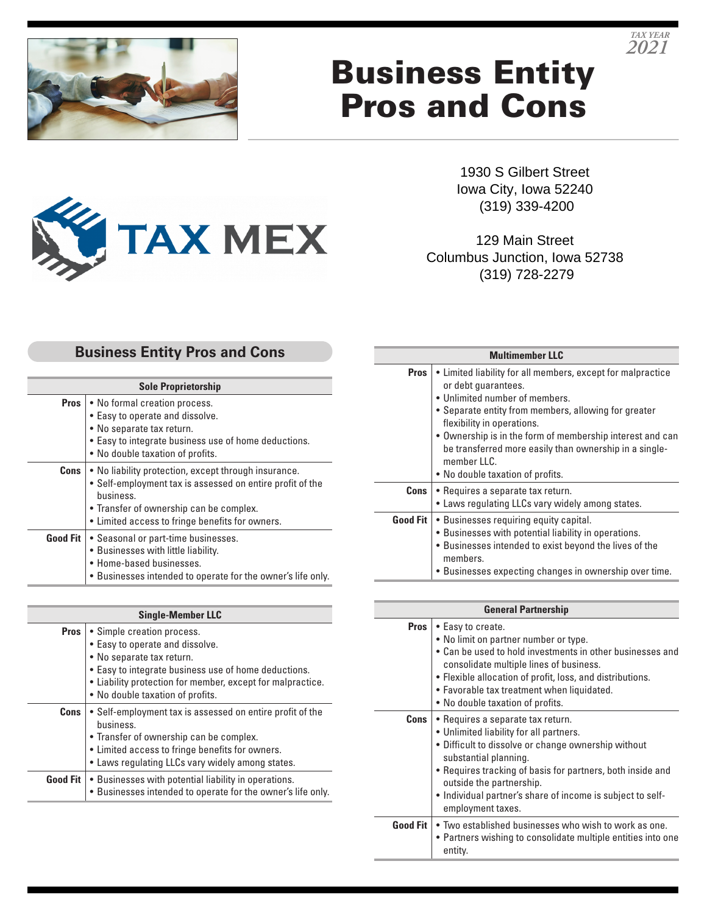

# Business Entity Pros and Cons

1930 S Gilbert Street Iowa City, Iowa 52240 (319) 339-4200

129 Main Street Columbus Junction, Iowa 52738 (319) 728-2279

## **Business Entity Pros and Cons**

**TAX MEX** 

| <b>Sole Proprietorship</b> |                                                                                                                                                                                                                              |
|----------------------------|------------------------------------------------------------------------------------------------------------------------------------------------------------------------------------------------------------------------------|
|                            | <b>Pros</b>   • No formal creation process.<br>• Easy to operate and dissolve.<br>• No separate tax return.<br>• Easy to integrate business use of home deductions.<br>• No double taxation of profits.                      |
| Cons                       | • No liability protection, except through insurance.<br>• Self-employment tax is assessed on entire profit of the<br>business.<br>• Transfer of ownership can be complex.<br>• Limited access to fringe benefits for owners. |
|                            | <b>Good Fit</b>   • Seasonal or part-time businesses.<br>• Businesses with little liability.<br>• Home-based businesses.<br>. Businesses intended to operate for the owner's life only.                                      |

| <b>Single-Member LLC</b> |                                                                                                                                                                                                                                                      |
|--------------------------|------------------------------------------------------------------------------------------------------------------------------------------------------------------------------------------------------------------------------------------------------|
| <b>Pros</b>              | • Simple creation process.<br>• Easy to operate and dissolve.<br>• No separate tax return.<br>• Easy to integrate business use of home deductions.<br>• Liability protection for member, except for malpractice.<br>• No double taxation of profits. |
| <b>Cons</b>              | • Self-employment tax is assessed on entire profit of the<br>business.<br>• Transfer of ownership can be complex.<br>• Limited access to fringe benefits for owners.<br>• Laws regulating LLCs vary widely among states.                             |
|                          | <b>Good Fit</b>   • Businesses with potential liability in operations.<br>• Businesses intended to operate for the owner's life only.                                                                                                                |

| <b>Multimember LLC</b> |                                                                                                                                                                                                                                                                                                                                                                                          |
|------------------------|------------------------------------------------------------------------------------------------------------------------------------------------------------------------------------------------------------------------------------------------------------------------------------------------------------------------------------------------------------------------------------------|
| <b>Pros</b>            | • Limited liability for all members, except for malpractice<br>or debt quarantees.<br>• Unlimited number of members.<br>• Separate entity from members, allowing for greater<br>flexibility in operations.<br>• Ownership is in the form of membership interest and can<br>be transferred more easily than ownership in a single-<br>member $\Pi$ C.<br>• No double taxation of profits. |
| Cons                   | • Requires a separate tax return.<br>• Laws regulating LLCs vary widely among states.                                                                                                                                                                                                                                                                                                    |
| <b>Good Fit</b>        | • Businesses requiring equity capital.<br>• Businesses with potential liability in operations.<br>• Businesses intended to exist beyond the lives of the<br>members.<br>• Businesses expecting changes in ownership over time.                                                                                                                                                           |

| <b>General Partnership</b> |                                                                                                                                                                                                                                                                                                                                           |
|----------------------------|-------------------------------------------------------------------------------------------------------------------------------------------------------------------------------------------------------------------------------------------------------------------------------------------------------------------------------------------|
| <b>Pros</b>                | • Easy to create.<br>• No limit on partner number or type.<br>• Can be used to hold investments in other businesses and<br>consolidate multiple lines of business.<br>• Flexible allocation of profit, loss, and distributions.<br>• Favorable tax treatment when liquidated.<br>• No double taxation of profits.                         |
| Cons                       | · Requires a separate tax return.<br>• Unlimited liability for all partners.<br>• Difficult to dissolve or change ownership without<br>substantial planning.<br>• Requires tracking of basis for partners, both inside and<br>outside the partnership.<br>· Individual partner's share of income is subject to self-<br>employment taxes. |
| Good Fit                   | • Two established businesses who wish to work as one.<br>• Partners wishing to consolidate multiple entities into one<br>entity.                                                                                                                                                                                                          |

*TAX YEAR 2021*